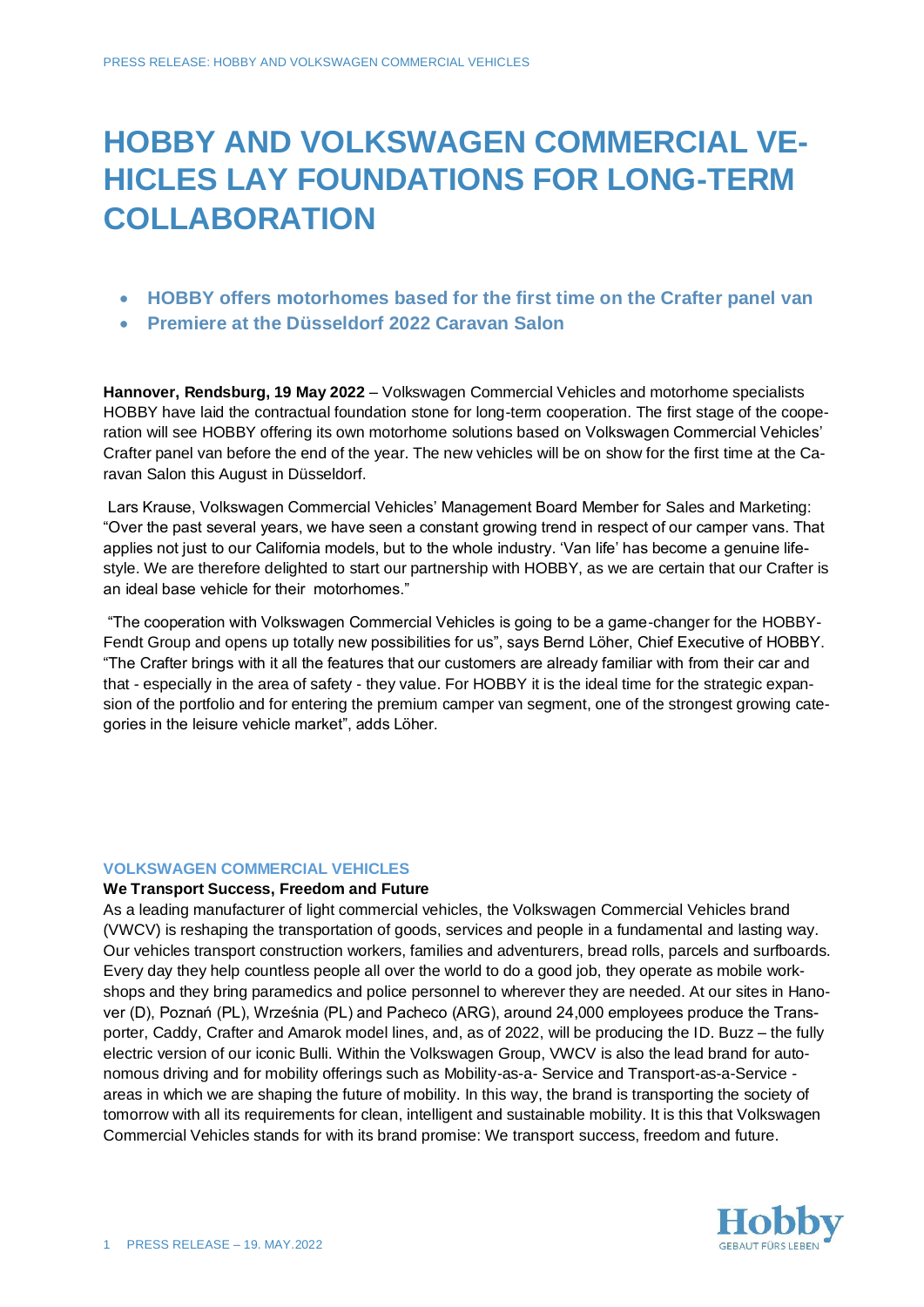# **HOBBY AND VOLKSWAGEN COMMERCIAL VE-HICLES LAY FOUNDATIONS FOR LONG-TERM COLLABORATION**

- **HOBBY offers motorhomes based for the first time on the Crafter panel van**
- **Premiere at the Düsseldorf 2022 Caravan Salon**

**Hannover, Rendsburg, 19 May 2022** – Volkswagen Commercial Vehicles and motorhome specialists HOBBY have laid the contractual foundation stone for long-term cooperation. The first stage of the cooperation will see HOBBY offering its own motorhome solutions based on Volkswagen Commercial Vehicles' Crafter panel van before the end of the year. The new vehicles will be on show for the first time at the Caravan Salon this August in Düsseldorf.

Lars Krause, Volkswagen Commercial Vehicles' Management Board Member for Sales and Marketing: "Over the past several years, we have seen a constant growing trend in respect of our camper vans. That applies not just to our California models, but to the whole industry. 'Van life' has become a genuine lifestyle. We are therefore delighted to start our partnership with HOBBY, as we are certain that our Crafter is an ideal base vehicle for their motorhomes."

"The cooperation with Volkswagen Commercial Vehicles is going to be a game-changer for the HOBBY-Fendt Group and opens up totally new possibilities for us", says Bernd Löher, Chief Executive of HOBBY. "The Crafter brings with it all the features that our customers are already familiar with from their car and that - especially in the area of safety - they value. For HOBBY it is the ideal time for the strategic expansion of the portfolio and for entering the premium camper van segment, one of the strongest growing categories in the leisure vehicle market", adds Löher.

#### **VOLKSWAGEN COMMERCIAL VEHICLES**

#### **We Transport Success, Freedom and Future**

As a leading manufacturer of light commercial vehicles, the Volkswagen Commercial Vehicles brand (VWCV) is reshaping the transportation of goods, services and people in a fundamental and lasting way. Our vehicles transport construction workers, families and adventurers, bread rolls, parcels and surfboards. Every day they help countless people all over the world to do a good job, they operate as mobile workshops and they bring paramedics and police personnel to wherever they are needed. At our sites in Hanover (D), Poznań (PL), Września (PL) and Pacheco (ARG), around 24,000 employees produce the Transporter, Caddy, Crafter and Amarok model lines, and, as of 2022, will be producing the ID. Buzz – the fully electric version of our iconic Bulli. Within the Volkswagen Group, VWCV is also the lead brand for autonomous driving and for mobility offerings such as Mobility-as-a- Service and Transport-as-a-Service areas in which we are shaping the future of mobility. In this way, the brand is transporting the society of tomorrow with all its requirements for clean, intelligent and sustainable mobility. It is this that Volkswagen Commercial Vehicles stands for with its brand promise: We transport success, freedom and future.